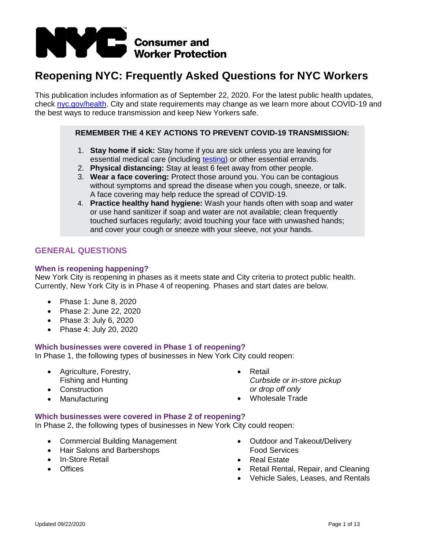

# **Reopening NYC: Frequently Asked Questions for NYC Workers**

This publication includes information as of September 22, 2020. For the latest public health updates, check [nyc.gov/health.](https://www1.nyc.gov/site/doh/covid/covid-19-main.page) City and state requirements may change as we learn more about COVID-19 and the best ways to reduce transmission and keep New Yorkers safe.

# **REMEMBER THE 4 KEY ACTIONS TO PREVENT COVID-19 TRANSMISSION:**

- 1. **Stay home if sick:** Stay home if you are sick unless you are leaving for essential medical care (including [testing\)](https://www1.nyc.gov/site/coronavirus/get-tested/covid-19-testing.page) or other essential errands.
- 2. **Physical distancing:** Stay at least 6 feet away from other people.
- 3. **Wear a face covering:** Protect those around you. You can be contagious without symptoms and spread the disease when you cough, sneeze, or talk. A face covering may help reduce the spread of COVID-19.
- 4. **Practice healthy hand hygiene:** Wash your hands often with soap and water or use hand sanitizer if soap and water are not available; clean frequently touched surfaces regularly; avoid touching your face with unwashed hands; and cover your cough or sneeze with your sleeve, not your hands.

# **GENERAL QUESTIONS**

### **When is reopening happening?**

New York City is reopening in phases as it meets state and City criteria to protect public health. Currently, New York City is in Phase 4 of reopening. Phases and start dates are below.

- Phase 1: June 8, 2020
- Phase 2: June 22, 2020
- Phase 3: July 6, 2020
- Phase 4: July 20, 2020

### **Which businesses were covered in Phase 1 of reopening?**

In Phase 1, the following types of businesses in New York City could reopen:

- Agriculture, Forestry, Fishing and Hunting
- Construction
- **Manufacturing**
- Retail *Curbside or in-store pickup or drop off only*
- Wholesale Trade

### **Which businesses were covered in Phase 2 of reopening?**

In Phase 2, the following types of businesses in New York City could reopen:

- Commercial Building Management
- Hair Salons and Barbershops
- In-Store Retail
- Offices
- Outdoor and Takeout/Delivery Food Services
- Real Estate
- Retail Rental, Repair, and Cleaning
- Vehicle Sales, Leases, and Rentals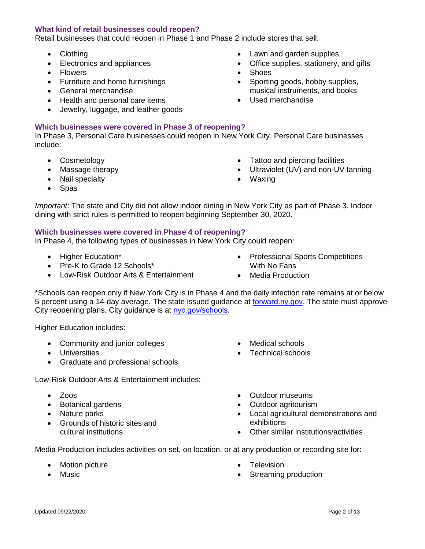# **What kind of retail businesses could reopen?**

Retail businesses that could reopen in Phase 1 and Phase 2 include stores that sell:

- Clothing
- Electronics and appliances
- **Flowers**
- Furniture and home furnishings
- General merchandise
- Health and personal care items
- Jewelry, luggage, and leather goods

# **Which businesses were covered in Phase 3 of reopening?**

In Phase 3, Personal Care businesses could reopen in New York City. Personal Care businesses include:

• Cosmetology

• Nail specialty

• Massage therapy

• Lawn and garden supplies

• Office supplies, stationery, and gifts

• Sporting goods, hobby supplies, musical instruments, and books

- Tattoo and piercing facilities
- Ultraviolet (UV) and non-UV tanning
- Waxing

**Shoes** 

• Used merchandise

• Spas

*Important*: The state and City did not allow indoor dining in New York City as part of Phase 3. Indoor dining with strict rules is permitted to reopen beginning September 30, 2020.

# **Which businesses were covered in Phase 4 of reopening?**

In Phase 4, the following types of businesses in New York City could reopen:

- Higher Education\*
- Pre-K to Grade 12 Schools\*
- Low-Risk Outdoor Arts & Entertainment
- Professional Sports Competitions With No Fans
- Media Production

\*Schools can reopen only if New York City is in Phase 4 and the daily infection rate remains at or below 5 percent using a 14-day average. The state issued guidance at [forward.ny.gov.](https://forward.ny.gov/phase-four-industries) The state must approve City reopening plans. City guidance is at [nyc.gov/schools.](https://www.schools.nyc.gov/school-year-20-21/return-to-school-2020)

Higher Education includes:

- Community and junior colleges
- Universities
- Graduate and professional schools
- Low-Risk Outdoor Arts & Entertainment includes:
	- Zoos
	- Botanical gardens
	- Nature parks
	- Grounds of historic sites and cultural institutions

Medical schools

- Outdoor museums
- Outdoor agritourism
- Local agricultural demonstrations and exhibitions
- Other similar institutions/activities

Media Production includes activities on set, on location, or at any production or recording site for:

- Motion picture
- Music
- **Television**
- Streaming production

• Technical schools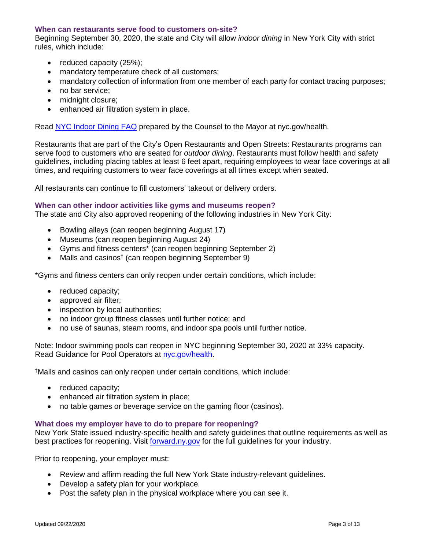#### **When can restaurants serve food to customers on-site?**

Beginning September 30, 2020, the state and City will allow *indoor dining* in New York City with strict rules, which include:

- reduced capacity (25%);
- mandatory temperature check of all customers;
- mandatory collection of information from one member of each party for contact tracing purposes;
- no bar service:
- midnight closure;
- enhanced air filtration system in place.

Read [NYC Indoor Dining FAQ](https://www1.nyc.gov/assets/counseltothemayor/downloads/Indoor-Dining-FAQ.pdf) prepared by the Counsel to the Mayor at nyc.gov/health.

Restaurants that are part of the City's Open Restaurants and Open Streets: Restaurants programs can serve food to customers who are seated for *outdoor dining*. Restaurants must follow health and safety guidelines, including placing tables at least 6 feet apart, requiring employees to wear face coverings at all times, and requiring customers to wear face coverings at all times except when seated.

All restaurants can continue to fill customers' takeout or delivery orders.

#### **When can other indoor activities like gyms and museums reopen?**

The state and City also approved reopening of the following industries in New York City:

- Bowling alleys (can reopen beginning August 17)
- Museums (can reopen beginning August 24)
- Gyms and fitness centers\* (can reopen beginning September 2)
- Malls and casinos<sup>†</sup> (can reopen beginning September 9)

\*Gyms and fitness centers can only reopen under certain conditions, which include:

- reduced capacity;
- approved air filter;
- inspection by local authorities;
- no indoor group fitness classes until further notice; and
- no use of saunas, steam rooms, and indoor spa pools until further notice.

Note: Indoor swimming pools can reopen in NYC beginning September 30, 2020 at 33% capacity. Read Guidance for Pool Operators at [nyc.gov/health.](https://www1.nyc.gov/assets/doh/downloads/pdf/covid/businesses/covid-19-reopening-pools-outdoor-operators.pdf)

†Malls and casinos can only reopen under certain conditions, which include:

- reduced capacity;
- enhanced air filtration system in place;
- no table games or beverage service on the gaming floor (casinos).

### **What does my employer have to do to prepare for reopening?**

New York State issued industry-specific health and safety guidelines that outline requirements as well as best practices for reopening. Visit [forward.ny.gov](https://forward.ny.gov/) for the full guidelines for your industry.

Prior to reopening, your employer must:

- Review and affirm reading the full New York State industry-relevant guidelines.
- Develop a safety plan for your workplace.
- Post the safety plan in the physical workplace where you can see it.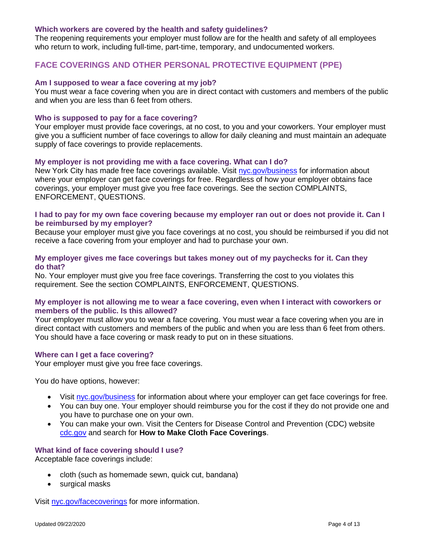#### **Which workers are covered by the health and safety guidelines?**

The reopening requirements your employer must follow are for the health and safety of all employees who return to work, including full-time, part-time, temporary, and undocumented workers.

# **FACE COVERINGS AND OTHER PERSONAL PROTECTIVE EQUIPMENT (PPE)**

#### **Am I supposed to wear a face covering at my job?**

You must wear a face covering when you are in direct contact with customers and members of the public and when you are less than 6 feet from others.

#### **Who is supposed to pay for a face covering?**

Your employer must provide face coverings, at no cost, to you and your coworkers. Your employer must give you a sufficient number of face coverings to allow for daily cleaning and must maintain an adequate supply of face coverings to provide replacements.

#### **My employer is not providing me with a face covering. What can I do?**

New York City has made free face coverings available. Visit [nyc.gov/business](https://www1.nyc.gov/nycbusiness/article/free-face-coverings) for information about where your employer can get face coverings for free. Regardless of how your employer obtains face coverings, your employer must give you free face coverings. See the section COMPLAINTS, ENFORCEMENT, QUESTIONS.

#### **I had to pay for my own face covering because my employer ran out or does not provide it. Can I be reimbursed by my employer?**

Because your employer must give you face coverings at no cost, you should be reimbursed if you did not receive a face covering from your employer and had to purchase your own.

### **My employer gives me face coverings but takes money out of my paychecks for it. Can they do that?**

No. Your employer must give you free face coverings. Transferring the cost to you violates this requirement. See the section COMPLAINTS, ENFORCEMENT, QUESTIONS.

### **My employer is not allowing me to wear a face covering, even when I interact with coworkers or members of the public. Is this allowed?**

Your employer must allow you to wear a face covering. You must wear a face covering when you are in direct contact with customers and members of the public and when you are less than 6 feet from others. You should have a face covering or mask ready to put on in these situations.

#### **Where can I get a face covering?**

Your employer must give you free face coverings.

You do have options, however:

- Visit [nyc.gov/business](https://www1.nyc.gov/nycbusiness/article/free-face-coverings) for information about where your employer can get face coverings for free.
- You can buy one. Your employer should reimburse you for the cost if they do not provide one and you have to purchase one on your own.
- You can make your own. Visit the Centers for Disease Control and Prevention (CDC) website [cdc.gov](http://cdc.gov/) and search for **How to Make Cloth Face Coverings**.

# **What kind of face covering should I use?**

Acceptable face coverings include:

- cloth (such as homemade sewn, quick cut, bandana)
- surgical masks

Visit [nyc.gov/facecoverings](https://www1.nyc.gov/site/coronavirus/resources/facecoverings.page) for more information.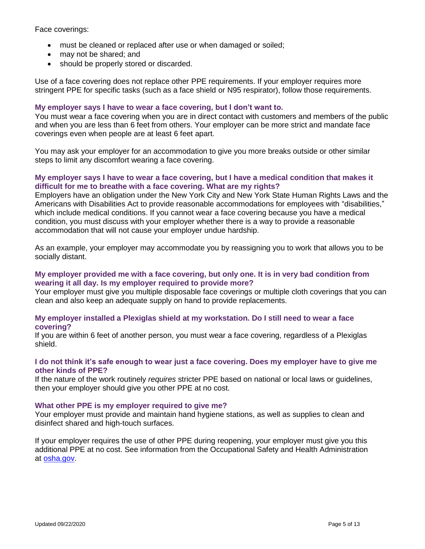Face coverings:

- must be cleaned or replaced after use or when damaged or soiled;
- may not be shared; and
- should be properly stored or discarded.

Use of a face covering does not replace other PPE requirements. If your employer requires more stringent PPE for specific tasks (such as a face shield or N95 respirator), follow those requirements.

### **My employer says I have to wear a face covering, but I don't want to.**

You must wear a face covering when you are in direct contact with customers and members of the public and when you are less than 6 feet from others. Your employer can be more strict and mandate face coverings even when people are at least 6 feet apart.

You may ask your employer for an accommodation to give you more breaks outside or other similar steps to limit any discomfort wearing a face covering.

## **My employer says I have to wear a face covering, but I have a medical condition that makes it difficult for me to breathe with a face covering. What are my rights?**

Employers have an obligation under the New York City and New York State Human Rights Laws and the Americans with Disabilities Act to provide reasonable accommodations for employees with "disabilities," which include medical conditions. If you cannot wear a face covering because you have a medical condition, you must discuss with your employer whether there is a way to provide a reasonable accommodation that will not cause your employer undue hardship.

As an example, your employer may accommodate you by reassigning you to work that allows you to be socially distant.

### **My employer provided me with a face covering, but only one. It is in very bad condition from wearing it all day. Is my employer required to provide more?**

Your employer must give you multiple disposable face coverings or multiple cloth coverings that you can clean and also keep an adequate supply on hand to provide replacements.

### **My employer installed a Plexiglas shield at my workstation. Do I still need to wear a face covering?**

If you are within 6 feet of another person, you must wear a face covering, regardless of a Plexiglas shield.

### **I do not think it's safe enough to wear just a face covering. Does my employer have to give me other kinds of PPE?**

If the nature of the work routinely *requires* stricter PPE based on national or local laws or guidelines, then your employer should give you other PPE at no cost.

### **What other PPE is my employer required to give me?**

Your employer must provide and maintain hand hygiene stations, as well as supplies to clean and disinfect shared and high-touch surfaces.

If your employer requires the use of other PPE during reopening, your employer must give you this additional PPE at no cost. See information from the Occupational Safety and Health Administration at [osha.gov.](https://www.osha.gov/dte/outreach/intro_osha/7_employee_ppe.pdf)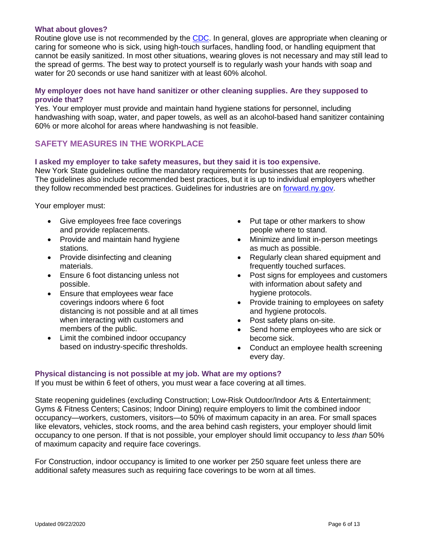#### **What about gloves?**

Routine glove use is not recommended by the [CDC.](https://www.cdc.gov/coronavirus/2019-ncov/prevent-getting-sick/gloves.html) In general, gloves are appropriate when cleaning or caring for someone who is sick, using high-touch surfaces, handling food, or handling equipment that cannot be easily sanitized. In most other situations, wearing gloves is not necessary and may still lead to the spread of germs. The best way to protect yourself is to regularly wash your hands with soap and water for 20 seconds or use hand sanitizer with at least 60% alcohol.

### **My employer does not have hand sanitizer or other cleaning supplies. Are they supposed to provide that?**

Yes. Your employer must provide and maintain hand hygiene stations for personnel, including handwashing with soap, water, and paper towels, as well as an alcohol-based hand sanitizer containing 60% or more alcohol for areas where handwashing is not feasible.

# **SAFETY MEASURES IN THE WORKPLACE**

#### **I asked my employer to take safety measures, but they said it is too expensive.**

New York State guidelines outline the mandatory requirements for businesses that are reopening. The guidelines also include recommended best practices, but it is up to individual employers whether they follow recommended best practices. Guidelines for industries are on [forward.ny.gov.](https://forward.ny.gov/reopening-new-york-city)

Your employer must:

- Give employees free face coverings and provide replacements.
- Provide and maintain hand hygiene stations.
- Provide disinfecting and cleaning materials.
- Ensure 6 foot distancing unless not possible.
- Ensure that employees wear face coverings indoors where 6 foot distancing is not possible and at all times when interacting with customers and members of the public.
- Limit the combined indoor occupancy based on industry-specific thresholds.
- Put tape or other markers to show people where to stand.
- Minimize and limit in-person meetings as much as possible.
- Regularly clean shared equipment and frequently touched surfaces.
- Post signs for employees and customers with information about safety and hygiene protocols.
- Provide training to employees on safety and hygiene protocols.
- Post safety plans on-site.
- Send home employees who are sick or become sick.
- Conduct an employee health screening every day.

### **Physical distancing is not possible at my job. What are my options?**

If you must be within 6 feet of others, you must wear a face covering at all times.

State reopening guidelines (excluding Construction; Low-Risk Outdoor/Indoor Arts & Entertainment; Gyms & Fitness Centers; Casinos; Indoor Dining) require employers to limit the combined indoor occupancy—workers, customers, visitors—to 50% of maximum capacity in an area. For small spaces like elevators, vehicles, stock rooms, and the area behind cash registers, your employer should limit occupancy to one person. If that is not possible, your employer should limit occupancy to *less than* 50% of maximum capacity and require face coverings.

For Construction, indoor occupancy is limited to one worker per 250 square feet unless there are additional safety measures such as requiring face coverings to be worn at all times.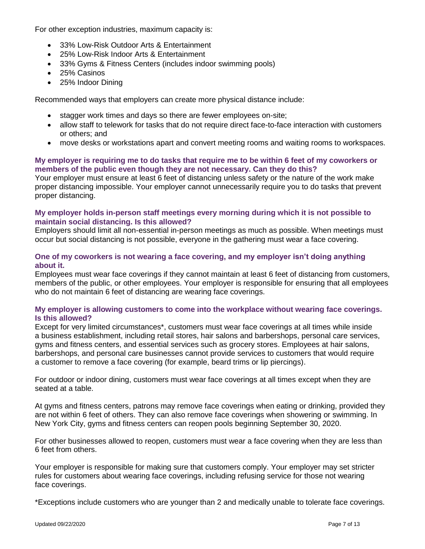For other exception industries, maximum capacity is:

- 33% Low-Risk Outdoor Arts & Entertainment
- 25% Low-Risk Indoor Arts & Entertainment
- 33% Gyms & Fitness Centers (includes indoor swimming pools)
- 25% Casinos
- 25% Indoor Dining

Recommended ways that employers can create more physical distance include:

- stagger work times and days so there are fewer employees on-site;
- allow staff to telework for tasks that do not require direct face-to-face interaction with customers or others; and
- move desks or workstations apart and convert meeting rooms and waiting rooms to workspaces.

# **My employer is requiring me to do tasks that require me to be within 6 feet of my coworkers or members of the public even though they are not necessary. Can they do this?**

Your employer must ensure at least 6 feet of distancing unless safety or the nature of the work make proper distancing impossible. Your employer cannot unnecessarily require you to do tasks that prevent proper distancing.

# **My employer holds in-person staff meetings every morning during which it is not possible to maintain social distancing. Is this allowed?**

Employers should limit all non-essential in-person meetings as much as possible. When meetings must occur but social distancing is not possible, everyone in the gathering must wear a face covering.

# **One of my coworkers is not wearing a face covering, and my employer isn't doing anything about it.**

Employees must wear face coverings if they cannot maintain at least 6 feet of distancing from customers, members of the public, or other employees. Your employer is responsible for ensuring that all employees who do not maintain 6 feet of distancing are wearing face coverings.

# **My employer is allowing customers to come into the workplace without wearing face coverings. Is this allowed?**

Except for very limited circumstances\*, customers must wear face coverings at all times while inside a business establishment, including retail stores, hair salons and barbershops, personal care services, gyms and fitness centers, and essential services such as grocery stores. Employees at hair salons, barbershops, and personal care businesses cannot provide services to customers that would require a customer to remove a face covering (for example, beard trims or lip piercings).

For outdoor or indoor dining, customers must wear face coverings at all times except when they are seated at a table.

At gyms and fitness centers, patrons may remove face coverings when eating or drinking, provided they are not within 6 feet of others. They can also remove face coverings when showering or swimming. In New York City, gyms and fitness centers can reopen pools beginning September 30, 2020.

For other businesses allowed to reopen, customers must wear a face covering when they are less than 6 feet from others.

Your employer is responsible for making sure that customers comply. Your employer may set stricter rules for customers about wearing face coverings, including refusing service for those not wearing face coverings.

\*Exceptions include customers who are younger than 2 and medically unable to tolerate face coverings.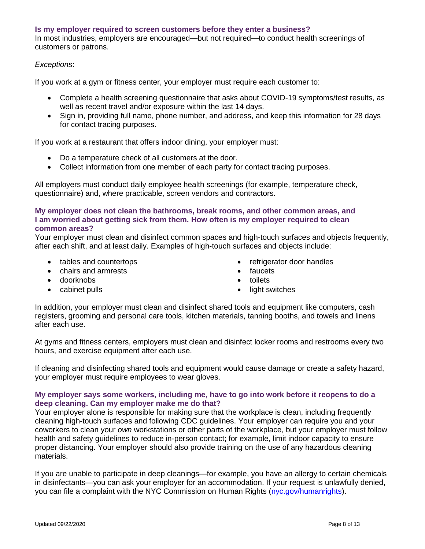#### **Is my employer required to screen customers before they enter a business?**

In most industries, employers are encouraged—but not required—to conduct health screenings of customers or patrons.

### *Exceptions*:

If you work at a gym or fitness center, your employer must require each customer to:

- Complete a health screening questionnaire that asks about COVID-19 symptoms/test results, as well as recent travel and/or exposure within the last 14 days.
- Sign in, providing full name, phone number, and address, and keep this information for 28 days for contact tracing purposes.

If you work at a restaurant that offers indoor dining, your employer must:

- Do a temperature check of all customers at the door.
- Collect information from one member of each party for contact tracing purposes.

All employers must conduct daily employee health screenings (for example, temperature check, questionnaire) and, where practicable, screen vendors and contractors.

### **My employer does not clean the bathrooms, break rooms, and other common areas, and I am worried about getting sick from them. How often is my employer required to clean common areas?**

Your employer must clean and disinfect common spaces and high-touch surfaces and objects frequently, after each shift, and at least daily. Examples of high-touch surfaces and objects include:

- tables and countertops
- chairs and armrests
- doorknobs
- cabinet pulls
- refrigerator door handles
- **faucets**
- toilets
- light switches

In addition, your employer must clean and disinfect shared tools and equipment like computers, cash registers, grooming and personal care tools, kitchen materials, tanning booths, and towels and linens after each use.

At gyms and fitness centers, employers must clean and disinfect locker rooms and restrooms every two hours, and exercise equipment after each use.

If cleaning and disinfecting shared tools and equipment would cause damage or create a safety hazard, your employer must require employees to wear gloves.

### **My employer says some workers, including me, have to go into work before it reopens to do a deep cleaning. Can my employer make me do that?**

Your employer alone is responsible for making sure that the workplace is clean, including frequently cleaning high-touch surfaces and following CDC guidelines. Your employer can require you and your coworkers to clean your *own* workstations or other parts of the workplace, but your employer must follow health and safety guidelines to reduce in-person contact; for example, limit indoor capacity to ensure proper distancing. Your employer should also provide training on the use of any hazardous cleaning materials.

If you are unable to participate in deep cleanings—for example, you have an allergy to certain chemicals in disinfectants—you can ask your employer for an accommodation. If your request is unlawfully denied, you can file a complaint with the NYC Commission on Human Rights [\(nyc.gov/humanrights\)](https://www1.nyc.gov/site/cchr/index.page).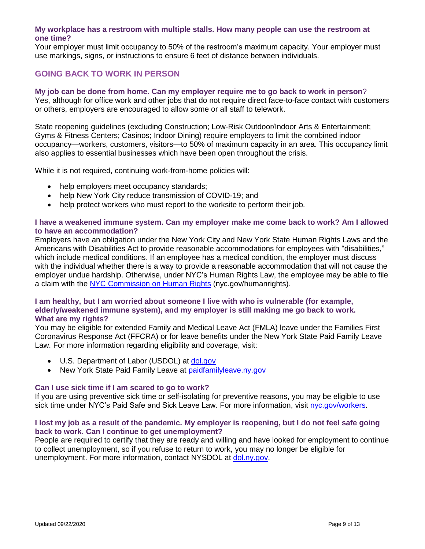## **My workplace has a restroom with multiple stalls. How many people can use the restroom at one time?**

Your employer must limit occupancy to 50% of the restroom's maximum capacity. Your employer must use markings, signs, or instructions to ensure 6 feet of distance between individuals.

# **GOING BACK TO WORK IN PERSON**

# **My job can be done from home. Can my employer require me to go back to work in person**?

Yes, although for office work and other jobs that do not require direct face-to-face contact with customers or others, employers are encouraged to allow some or all staff to telework.

State reopening guidelines (excluding Construction; Low-Risk Outdoor/Indoor Arts & Entertainment; Gyms & Fitness Centers; Casinos; Indoor Dining) require employers to limit the combined indoor occupancy—workers, customers, visitors—to 50% of maximum capacity in an area. This occupancy limit also applies to essential businesses which have been open throughout the crisis.

While it is not required, continuing work-from-home policies will:

- help employers meet occupancy standards;
- help New York City reduce transmission of COVID-19; and
- help protect workers who must report to the worksite to perform their job.

### **I have a weakened immune system. Can my employer make me come back to work? Am I allowed to have an accommodation?**

Employers have an obligation under the New York City and New York State Human Rights Laws and the Americans with Disabilities Act to provide reasonable accommodations for employees with "disabilities," which include medical conditions. If an employee has a medical condition, the employer must discuss with the individual whether there is a way to provide a reasonable accommodation that will not cause the employer undue hardship. Otherwise, under NYC's Human Rights Law, the employee may be able to file a claim with the [NYC Commission on Human Rights](https://www1.nyc.gov/site/cchr/index.page) (nyc.gov/humanrights).

## **I am healthy, but I am worried about someone I live with who is vulnerable (for example, elderly/weakened immune system), and my employer is still making me go back to work. What are my rights?**

You may be eligible for extended Family and Medical Leave Act (FMLA) leave under the Families First Coronavirus Response Act (FFCRA) or for leave benefits under the New York State Paid Family Leave Law. For more information regarding eligibility and coverage, visit:

- U.S. Department of Labor (USDOL) at [dol.gov](https://www.dol.gov/)
- New York State Paid Family Leave at [paidfamilyleave.ny.gov](https://paidfamilyleave.ny.gov/)

### **Can I use sick time if I am scared to go to work?**

If you are using preventive sick time or self-isolating for preventive reasons, you may be eligible to use sick time under NYC's Paid Safe and Sick Leave Law. For more information, visit [nyc.gov/workers.](https://www1.nyc.gov/site/dca/workers/worker-rights.page)

### **I lost my job as a result of the pandemic. My employer is reopening, but I do not feel safe going back to work. Can I continue to get unemployment?**

People are required to certify that they are ready and willing and have looked for employment to continue to collect unemployment, so if you refuse to return to work, you may no longer be eligible for unemployment. For more information, contact NYSDOL at [dol.ny.gov.](https://dol.ny.gov/)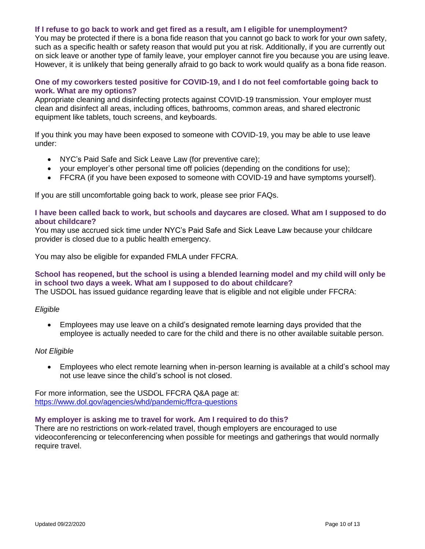#### **If I refuse to go back to work and get fired as a result, am I eligible for unemployment?**

You may be protected if there is a bona fide reason that you cannot go back to work for your own safety, such as a specific health or safety reason that would put you at risk. Additionally, if you are currently out on sick leave or another type of family leave, your employer cannot fire you because you are using leave. However, it is unlikely that being generally afraid to go back to work would qualify as a bona fide reason.

### **One of my coworkers tested positive for COVID-19, and I do not feel comfortable going back to work. What are my options?**

Appropriate cleaning and disinfecting protects against COVID-19 transmission. Your employer must clean and disinfect all areas, including offices, bathrooms, common areas, and shared electronic equipment like tablets, touch screens, and keyboards.

If you think you may have been exposed to someone with COVID-19, you may be able to use leave under:

- NYC's Paid Safe and Sick Leave Law (for preventive care);
- your employer's other personal time off policies (depending on the conditions for use);
- FFCRA (if you have been exposed to someone with COVID-19 and have symptoms yourself).

If you are still uncomfortable going back to work, please see prior FAQs.

#### **I have been called back to work, but schools and daycares are closed. What am I supposed to do about childcare?**

You may use accrued sick time under NYC's Paid Safe and Sick Leave Law because your childcare provider is closed due to a public health emergency.

You may also be eligible for expanded FMLA under FFCRA.

# **School has reopened, but the school is using a blended learning model and my child will only be in school two days a week. What am I supposed to do about childcare?**

The USDOL has issued guidance regarding leave that is eligible and not eligible under FFCRA:

#### *Eligible*

• Employees may use leave on a child's designated remote learning days provided that the employee is actually needed to care for the child and there is no other available suitable person.

#### *Not Eligible*

• Employees who elect remote learning when in-person learning is available at a child's school may not use leave since the child's school is not closed.

For more information, see the USDOL FFCRA Q&A page at: <https://www.dol.gov/agencies/whd/pandemic/ffcra-questions>

### **My employer is asking me to travel for work. Am I required to do this?**

There are no restrictions on work-related travel, though employers are encouraged to use videoconferencing or teleconferencing when possible for meetings and gatherings that would normally require travel.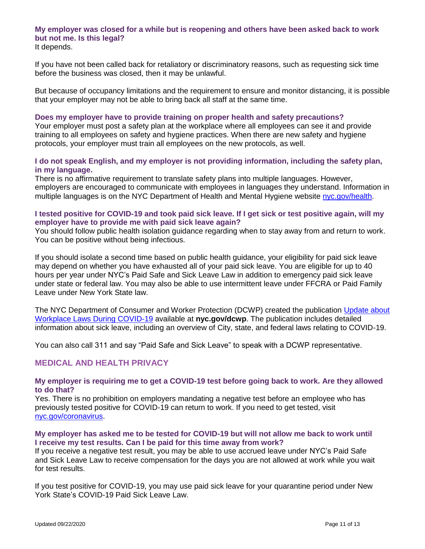# **My employer was closed for a while but is reopening and others have been asked back to work but not me. Is this legal?**

It depends.

If you have not been called back for retaliatory or discriminatory reasons, such as requesting sick time before the business was closed, then it may be unlawful.

But because of occupancy limitations and the requirement to ensure and monitor distancing, it is possible that your employer may not be able to bring back all staff at the same time.

#### **Does my employer have to provide training on proper health and safety precautions?**

Your employer must post a safety plan at the workplace where all employees can see it and provide training to all employees on safety and hygiene practices. When there are new safety and hygiene protocols, your employer must train all employees on the new protocols, as well.

# **I do not speak English, and my employer is not providing information, including the safety plan, in my language.**

There is no affirmative requirement to translate safety plans into multiple languages. However, employers are encouraged to communicate with employees in languages they understand. Information in multiple languages is on the NYC Department of Health and Mental Hygiene website [nyc.gov/health.](https://www1.nyc.gov/site/doh/covid/covid-19-main.page)

# **I tested positive for COVID-19 and took paid sick leave. If I get sick or test positive again, will my employer have to provide me with paid sick leave again?**

You should follow public health isolation guidance regarding when to stay away from and return to work. You can be positive without being infectious.

If you should isolate a second time based on public health guidance, your eligibility for paid sick leave may depend on whether you have exhausted all of your paid sick leave. You are eligible for up to 40 hours per year under NYC's Paid Safe and Sick Leave Law in addition to emergency paid sick leave under state or federal law. You may also be able to use intermittent leave under FFCRA or Paid Family Leave under New York State law.

The NYC Department of Consumer and Worker Protection (DCWP) created the publication [Update about](https://www1.nyc.gov/assets/dca/downloads/pdf/workers/Complying-with-NYC-Workplace-Laws-During-COVID-19.pdf)  [Workplace Laws During COVID-19](https://www1.nyc.gov/assets/dca/downloads/pdf/workers/Complying-with-NYC-Workplace-Laws-During-COVID-19.pdf) available at **nyc.gov/dcwp**. The publication includes detailed information about sick leave, including an overview of City, state, and federal laws relating to COVID-19.

You can also call 311 and say "Paid Safe and Sick Leave" to speak with a DCWP representative.

# **MEDICAL AND HEALTH PRIVACY**

### **My employer is requiring me to get a COVID-19 test before going back to work. Are they allowed to do that?**

Yes. There is no prohibition on employers mandating a negative test before an employee who has previously tested positive for COVID-19 can return to work. If you need to get tested, visit [nyc.gov/coronavirus.](https://www1.nyc.gov/site/coronavirus/get-tested/covid-19-testing.page)

### **My employer has asked me to be tested for COVID-19 but will not allow me back to work until I receive my test results. Can I be paid for this time away from work?**

If you receive a negative test result, you may be able to use accrued leave under NYC's Paid Safe and Sick Leave Law to receive compensation for the days you are not allowed at work while you wait for test results.

If you test positive for COVID-19, you may use paid sick leave for your quarantine period under New York State's COVID-19 Paid Sick Leave Law.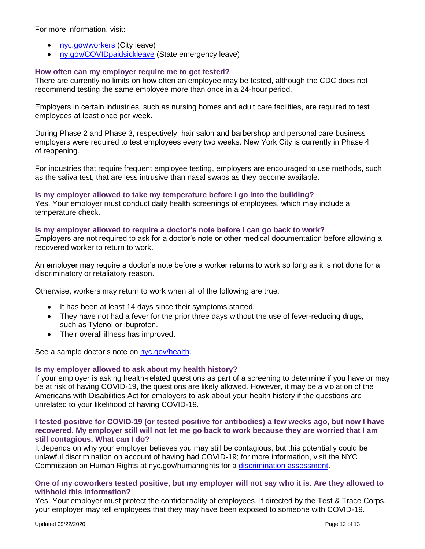For more information, visit:

- [nyc.gov/workers](https://www1.nyc.gov/site/dca/workers/worker-rights.page) (City leave)
- [ny.gov/COVIDpaidsickleave](https://www.governor.ny.gov/programs/paid-sick-leave-covid-19-impacted-new-yorkers) (State emergency leave)

### **How often can my employer require me to get tested?**

There are currently no limits on how often an employee may be tested, although the CDC does not recommend testing the same employee more than once in a 24-hour period.

Employers in certain industries, such as nursing homes and adult care facilities, are required to test employees at least once per week.

During Phase 2 and Phase 3, respectively, hair salon and barbershop and personal care business employers were required to test employees every two weeks. New York City is currently in Phase 4 of reopening.

For industries that require frequent employee testing, employers are encouraged to use methods, such as the saliva test, that are less intrusive than nasal swabs as they become available.

#### **Is my employer allowed to take my temperature before I go into the building?**

Yes. Your employer must conduct daily health screenings of employees, which may include a temperature check.

#### **Is my employer allowed to require a doctor's note before I can go back to work?**

Employers are not required to ask for a doctor's note or other medical documentation before allowing a recovered worker to return to work.

An employer may require a doctor's note before a worker returns to work so long as it is not done for a discriminatory or retaliatory reason.

Otherwise, workers may return to work when all of the following are true:

- It has been at least 14 days since their symptoms started.
- They have not had a fever for the prior three days without the use of fever-reducing drugs, such as Tylenol or ibuprofen.
- Their overall illness has improved.

See a sample doctor's note on [nyc.gov/health.](https://www1.nyc.gov/assets/doh/downloads/pdf/imm/covid-19-doctor-note-non-travel.pdf)

### **Is my employer allowed to ask about my health history?**

If your employer is asking health-related questions as part of a screening to determine if you have or may be at risk of having COVID-19, the questions are likely allowed. However, it may be a violation of the Americans with Disabilities Act for employers to ask about your health history if the questions are unrelated to your likelihood of having COVID-19.

#### **I tested positive for COVID-19 (or tested positive for antibodies) a few weeks ago, but now I have recovered. My employer still will not let me go back to work because they are worried that I am still contagious. What can I do?**

It depends on why your employer believes you may still be contagious, but this potentially could be unlawful discrimination on account of having had COVID-19; for more information, visit the NYC Commission on Human Rights at nyc.gov/humanrights for a [discrimination assessment.](https://www1.nyc.gov/site/cchr/media/covid19.page)

### **One of my coworkers tested positive, but my employer will not say who it is. Are they allowed to withhold this information?**

Yes. Your employer must protect the confidentiality of employees. If directed by the Test & Trace Corps, your employer may tell employees that they may have been exposed to someone with COVID-19.